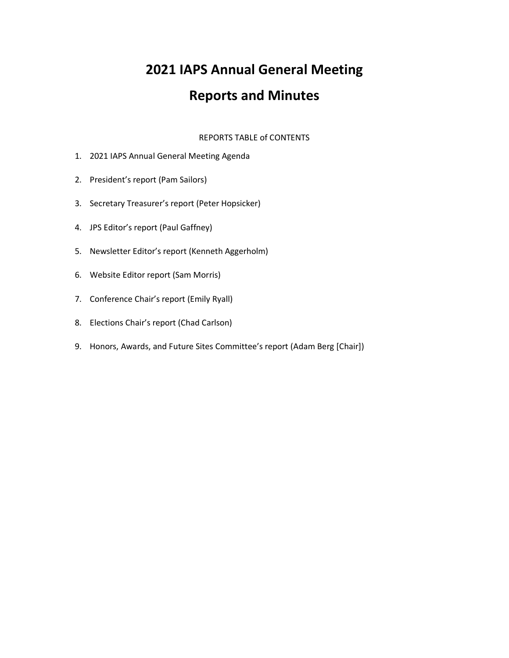# **2021 IAPS Annual General Meeting**

# **Reports and Minutes**

REPORTS TABLE of CONTENTS

- 1. 2021 IAPS Annual General Meeting Agenda
- 2. President's report (Pam Sailors)
- 3. Secretary Treasurer's report (Peter Hopsicker)
- 4. JPS Editor's report (Paul Gaffney)
- 5. Newsletter Editor's report (Kenneth Aggerholm)
- 6. Website Editor report (Sam Morris)
- 7. Conference Chair's report (Emily Ryall)
- 8. Elections Chair's report (Chad Carlson)
- 9. Honors, Awards, and Future Sites Committee's report (Adam Berg [Chair])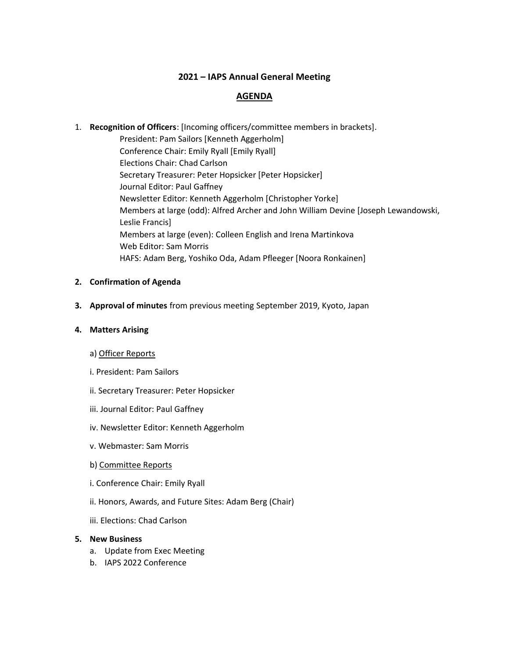## **2021 – IAPS Annual General Meeting**

### **AGENDA**

# 1. **Recognition of Officers**: [Incoming officers/committee members in brackets]. President: Pam Sailors [Kenneth Aggerholm] Conference Chair: Emily Ryall [Emily Ryall] Elections Chair: Chad Carlson Secretary Treasurer: Peter Hopsicker [Peter Hopsicker] Journal Editor: Paul Gaffney Newsletter Editor: Kenneth Aggerholm [Christopher Yorke] Members at large (odd): Alfred Archer and John William Devine [Joseph Lewandowski, Leslie Francis] Members at large (even): Colleen English and Irena Martinkova Web Editor: Sam Morris HAFS: Adam Berg, Yoshiko Oda, Adam Pfleeger [Noora Ronkainen]

#### **2. Confirmation of Agenda**

**3. Approval of minutes** from previous meeting September 2019, Kyoto, Japan

#### **4. Matters Arising**

- a) Officer Reports
- i. President: Pam Sailors
- ii. Secretary Treasurer: Peter Hopsicker
- iii. Journal Editor: Paul Gaffney
- iv. Newsletter Editor: Kenneth Aggerholm
- v. Webmaster: Sam Morris
- b) Committee Reports
- i. Conference Chair: Emily Ryall
- ii. Honors, Awards, and Future Sites: Adam Berg (Chair)
- iii. Elections: Chad Carlson

#### **5. New Business**

- a. Update from Exec Meeting
- b. IAPS 2022 Conference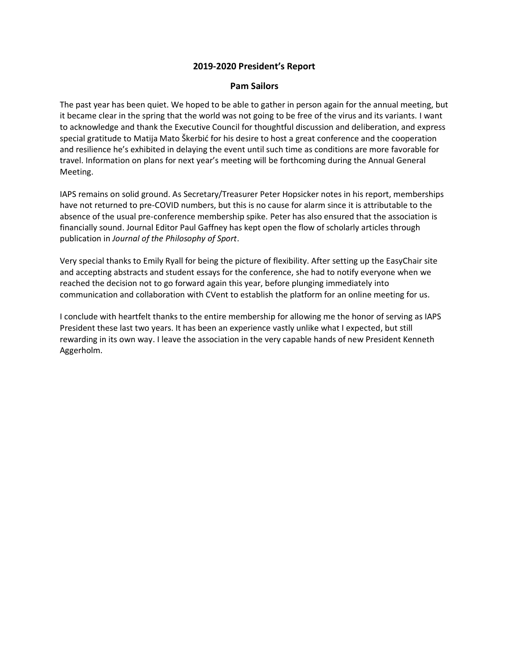#### **2019-2020 President's Report**

#### **Pam Sailors**

The past year has been quiet. We hoped to be able to gather in person again for the annual meeting, but it became clear in the spring that the world was not going to be free of the virus and its variants. I want to acknowledge and thank the Executive Council for thoughtful discussion and deliberation, and express special gratitude to Matija Mato Škerbić for his desire to host a great conference and the cooperation and resilience he's exhibited in delaying the event until such time as conditions are more favorable for travel. Information on plans for next year's meeting will be forthcoming during the Annual General Meeting.

IAPS remains on solid ground. As Secretary/Treasurer Peter Hopsicker notes in his report, memberships have not returned to pre-COVID numbers, but this is no cause for alarm since it is attributable to the absence of the usual pre-conference membership spike. Peter has also ensured that the association is financially sound. Journal Editor Paul Gaffney has kept open the flow of scholarly articles through publication in *Journal of the Philosophy of Sport*.

Very special thanks to Emily Ryall for being the picture of flexibility. After setting up the EasyChair site and accepting abstracts and student essays for the conference, she had to notify everyone when we reached the decision not to go forward again this year, before plunging immediately into communication and collaboration with CVent to establish the platform for an online meeting for us.

I conclude with heartfelt thanks to the entire membership for allowing me the honor of serving as IAPS President these last two years. It has been an experience vastly unlike what I expected, but still rewarding in its own way. I leave the association in the very capable hands of new President Kenneth Aggerholm.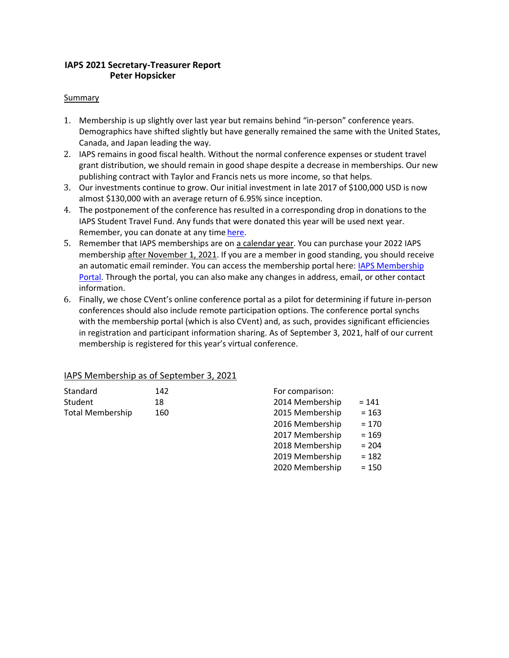## **IAPS 2021 Secretary-Treasurer Report Peter Hopsicker**

#### Summary

- 1. Membership is up slightly over last year but remains behind "in-person" conference years. Demographics have shifted slightly but have generally remained the same with the United States, Canada, and Japan leading the way.
- 2. IAPS remains in good fiscal health. Without the normal conference expenses or student travel grant distribution, we should remain in good shape despite a decrease in memberships. Our new publishing contract with Taylor and Francis nets us more income, so that helps.
- 3. Our investments continue to grow. Our initial investment in late 2017 of \$100,000 USD is now almost \$130,000 with an average return of 6.95% since inception.
- 4. The postponement of the conference has resulted in a corresponding drop in donations to the IAPS Student Travel Fund. Any funds that were donated this year will be used next year. Remember, you can donate at any time here.
- 5. Remember that IAPS memberships are on a calendar year. You can purchase your 2022 IAPS membership after November 1, 2021. If you are a member in good standing, you should receive an automatic email reminder. You can access the membership portal here: IAPS Membership Portal. Through the portal, you can also make any changes in address, email, or other contact information.
- 6. Finally, we chose CVent's online conference portal as a pilot for determining if future in-person conferences should also include remote participation options. The conference portal synchs with the membership portal (which is also CVent) and, as such, provides significant efficiencies in registration and participant information sharing. As of September 3, 2021, half of our current membership is registered for this year's virtual conference.

#### IAPS Membership as of September 3, 2021

| Standard                | 142 |
|-------------------------|-----|
| Student                 | 18  |
| <b>Total Membership</b> | 160 |

| For comparison: |         |
|-----------------|---------|
| 2014 Membership | $= 141$ |
| 2015 Membership | $= 163$ |
| 2016 Membership | $= 170$ |
| 2017 Membership | $= 169$ |
| 2018 Membership | $= 204$ |
| 2019 Membership | $= 182$ |
| 2020 Membership | $= 150$ |
|                 |         |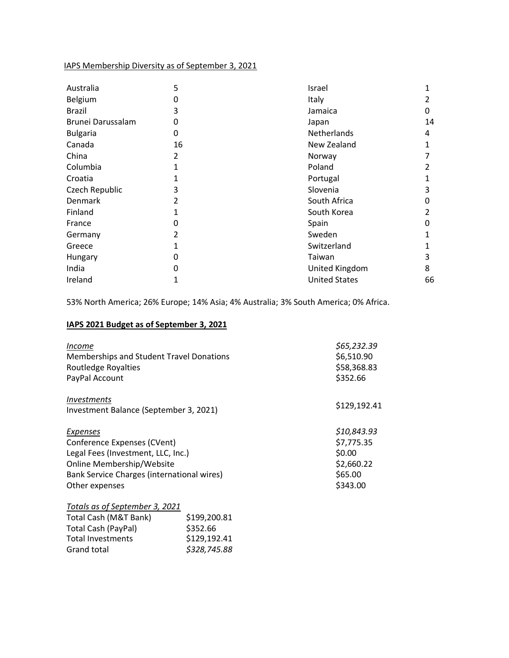## IAPS Membership Diversity as of September 3, 2021

| Australia         | 5  | Israel               | 1  |
|-------------------|----|----------------------|----|
| Belgium           | 0  | Italy                | 2  |
| <b>Brazil</b>     | 3  | Jamaica              | 0  |
| Brunei Darussalam | 0  | Japan                | 14 |
| <b>Bulgaria</b>   | 0  | Netherlands          | 4  |
| Canada            | 16 | New Zealand          |    |
| China             | 2  | Norway               |    |
| Columbia          | 1  | Poland               | 2  |
| Croatia           | 1  | Portugal             |    |
| Czech Republic    | 3  | Slovenia             | 3  |
| Denmark           | 2  | South Africa         | 0  |
| Finland           | 1  | South Korea          | 2  |
| France            | 0  | Spain                | 0  |
| Germany           | 2  | Sweden               | 1  |
| Greece            | 1  | Switzerland          |    |
| Hungary           | 0  | Taiwan               | 3  |
| India             | 0  | United Kingdom       | 8  |
| Ireland           | 1  | <b>United States</b> | 66 |

53% North America; 26% Europe; 14% Asia; 4% Australia; 3% South America; 0% Africa.

#### **IAPS 2021 Budget as of September 3, 2021**

Grand total *\$328,745.88*

| Income                                     |              | \$65,232.39  |
|--------------------------------------------|--------------|--------------|
| Memberships and Student Travel Donations   | \$6,510.90   |              |
| Routledge Royalties                        |              | \$58,368.83  |
| PayPal Account                             |              | \$352.66     |
| <i>Investments</i>                         |              |              |
| Investment Balance (September 3, 2021)     |              | \$129,192.41 |
| <b>Expenses</b>                            |              | \$10,843.93  |
| Conference Expenses (CVent)                |              | \$7,775.35   |
| Legal Fees (Investment, LLC, Inc.)         | \$0.00       |              |
| Online Membership/Website                  |              | \$2,660.22   |
| Bank Service Charges (international wires) |              | \$65.00      |
| Other expenses                             |              | \$343.00     |
| Totals as of September 3, 2021             |              |              |
| Total Cash (M&T Bank)                      | \$199,200.81 |              |
| Total Cash (PayPal)                        | \$352.66     |              |
| Total Investments                          | \$129,192.41 |              |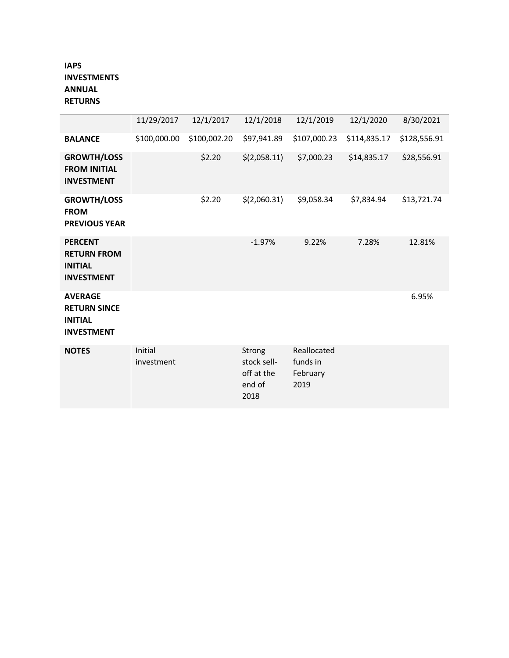# **IAPS INVESTMENTS ANNUAL RETURNS**

|                                                                              | 11/29/2017            | 12/1/2017    | 12/1/2018                                             | 12/1/2019                                   | 12/1/2020    | 8/30/2021    |
|------------------------------------------------------------------------------|-----------------------|--------------|-------------------------------------------------------|---------------------------------------------|--------------|--------------|
| <b>BALANCE</b>                                                               | \$100,000.00          | \$100,002.20 | \$97,941.89                                           | \$107,000.23                                | \$114,835.17 | \$128,556.91 |
| <b>GROWTH/LOSS</b><br><b>FROM INITIAL</b><br><b>INVESTMENT</b>               |                       | \$2.20       | \$(2,058.11)                                          | \$7,000.23                                  | \$14,835.17  | \$28,556.91  |
| <b>GROWTH/LOSS</b><br><b>FROM</b><br><b>PREVIOUS YEAR</b>                    |                       | \$2.20       | \$(2,060.31)                                          | \$9,058.34                                  | \$7,834.94   | \$13,721.74  |
| <b>PERCENT</b><br><b>RETURN FROM</b><br><b>INITIAL</b><br><b>INVESTMENT</b>  |                       |              | $-1.97%$                                              | 9.22%                                       | 7.28%        | 12.81%       |
| <b>AVERAGE</b><br><b>RETURN SINCE</b><br><b>INITIAL</b><br><b>INVESTMENT</b> |                       |              |                                                       |                                             |              | 6.95%        |
| <b>NOTES</b>                                                                 | Initial<br>investment |              | Strong<br>stock sell-<br>off at the<br>end of<br>2018 | Reallocated<br>funds in<br>February<br>2019 |              |              |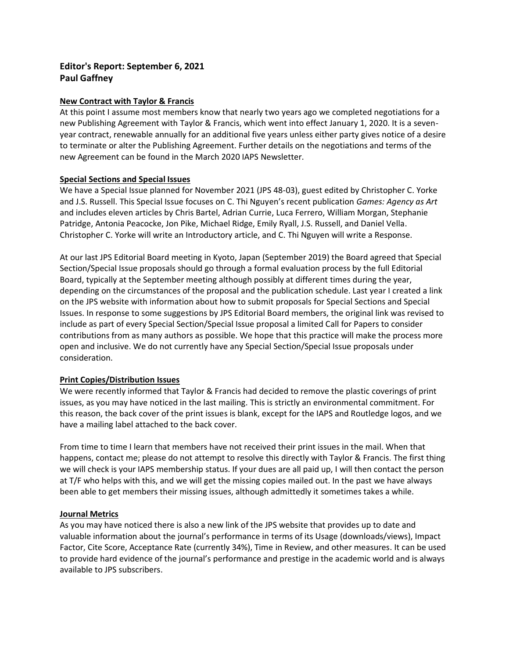# **Editor's Report: September 6, 2021 Paul Gaffney**

#### **New Contract with Taylor & Francis**

At this point I assume most members know that nearly two years ago we completed negotiations for a new Publishing Agreement with Taylor & Francis, which went into effect January 1, 2020. It is a sevenyear contract, renewable annually for an additional five years unless either party gives notice of a desire to terminate or alter the Publishing Agreement. Further details on the negotiations and terms of the new Agreement can be found in the March 2020 IAPS Newsletter.

#### **Special Sections and Special Issues**

We have a Special Issue planned for November 2021 (JPS 48-03), guest edited by Christopher C. Yorke and J.S. Russell. This Special Issue focuses on C. Thi Nguyen's recent publication *Games: Agency as Art* and includes eleven articles by Chris Bartel, Adrian Currie, Luca Ferrero, William Morgan, Stephanie Patridge, Antonia Peacocke, Jon Pike, Michael Ridge, Emily Ryall, J.S. Russell, and Daniel Vella. Christopher C. Yorke will write an Introductory article, and C. Thi Nguyen will write a Response.

At our last JPS Editorial Board meeting in Kyoto, Japan (September 2019) the Board agreed that Special Section/Special Issue proposals should go through a formal evaluation process by the full Editorial Board, typically at the September meeting although possibly at different times during the year, depending on the circumstances of the proposal and the publication schedule. Last year I created a link on the JPS website with information about how to submit proposals for Special Sections and Special Issues. In response to some suggestions by JPS Editorial Board members, the original link was revised to include as part of every Special Section/Special Issue proposal a limited Call for Papers to consider contributions from as many authors as possible. We hope that this practice will make the process more open and inclusive. We do not currently have any Special Section/Special Issue proposals under consideration.

#### **Print Copies/Distribution Issues**

We were recently informed that Taylor & Francis had decided to remove the plastic coverings of print issues, as you may have noticed in the last mailing. This is strictly an environmental commitment. For this reason, the back cover of the print issues is blank, except for the IAPS and Routledge logos, and we have a mailing label attached to the back cover.

From time to time I learn that members have not received their print issues in the mail. When that happens, contact me; please do not attempt to resolve this directly with Taylor & Francis. The first thing we will check is your IAPS membership status. If your dues are all paid up, I will then contact the person at T/F who helps with this, and we will get the missing copies mailed out. In the past we have always been able to get members their missing issues, although admittedly it sometimes takes a while.

#### **Journal Metrics**

As you may have noticed there is also a new link of the JPS website that provides up to date and valuable information about the journal's performance in terms of its Usage (downloads/views), Impact Factor, Cite Score, Acceptance Rate (currently 34%), Time in Review, and other measures. It can be used to provide hard evidence of the journal's performance and prestige in the academic world and is always available to JPS subscribers.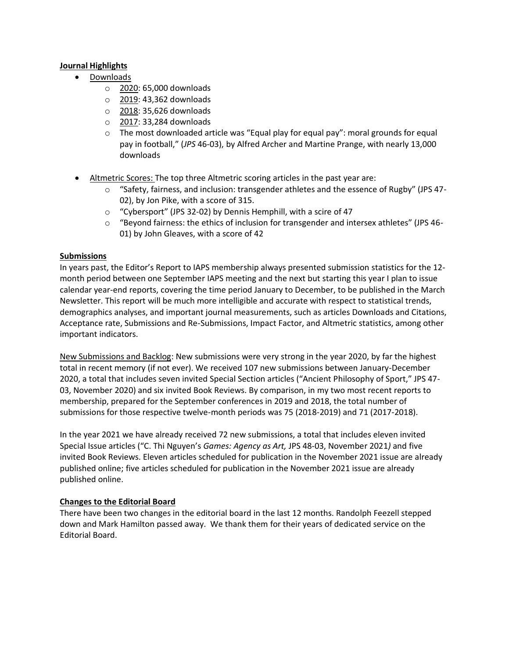#### **Journal Highlights**

- Downloads
	- o 2020: 65,000 downloads
	- o 2019: 43,362 downloads
	- o 2018: 35,626 downloads
	- o 2017: 33,284 downloads
	- $\circ$  The most downloaded article was "Equal play for equal pay": moral grounds for equal pay in football," (*JPS* 46-03), by Alfred Archer and Martine Prange, with nearly 13,000 downloads
- Altmetric Scores: The top three Altmetric scoring articles in the past year are:
	- $\circ$  "Safety, fairness, and inclusion: transgender athletes and the essence of Rugby" (JPS 47-02), by Jon Pike, with a score of 315.
	- o "Cybersport" (JPS 32-02) by Dennis Hemphill, with a scire of 47
	- o "Beyond fairness: the ethics of inclusion for transgender and intersex athletes" (JPS 46- 01) by John Gleaves, with a score of 42

#### **Submissions**

In years past, the Editor's Report to IAPS membership always presented submission statistics for the 12 month period between one September IAPS meeting and the next but starting this year I plan to issue calendar year-end reports, covering the time period January to December, to be published in the March Newsletter. This report will be much more intelligible and accurate with respect to statistical trends, demographics analyses, and important journal measurements, such as articles Downloads and Citations, Acceptance rate, Submissions and Re-Submissions, Impact Factor, and Altmetric statistics, among other important indicators.

New Submissions and Backlog: New submissions were very strong in the year 2020, by far the highest total in recent memory (if not ever). We received 107 new submissions between January-December 2020, a total that includes seven invited Special Section articles ("Ancient Philosophy of Sport," JPS 47- 03, November 2020) and six invited Book Reviews. By comparison, in my two most recent reports to membership, prepared for the September conferences in 2019 and 2018, the total number of submissions for those respective twelve-month periods was 75 (2018-2019) and 71 (2017-2018).

In the year 2021 we have already received 72 new submissions, a total that includes eleven invited Special Issue articles ("C. Thi Nguyen's *Games: Agency as Art,* JPS 48-03, November 2021*)* and five invited Book Reviews. Eleven articles scheduled for publication in the November 2021 issue are already published online; five articles scheduled for publication in the November 2021 issue are already published online.

#### **Changes to the Editorial Board**

There have been two changes in the editorial board in the last 12 months. Randolph Feezell stepped down and Mark Hamilton passed away. We thank them for their years of dedicated service on the Editorial Board.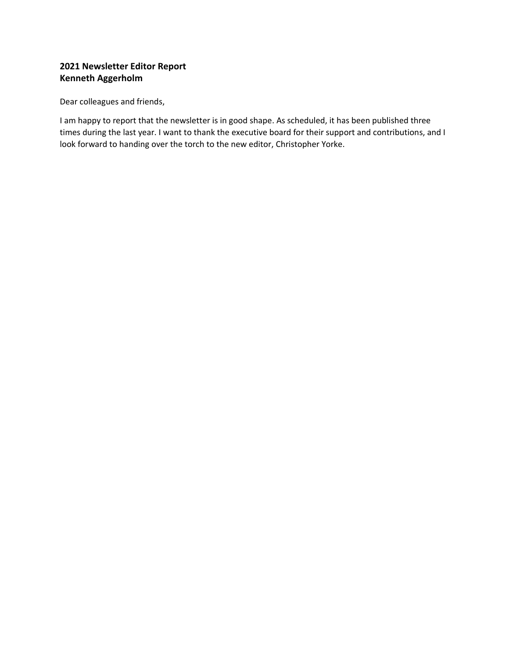# **2021 Newsletter Editor Report Kenneth Aggerholm**

Dear colleagues and friends,

I am happy to report that the newsletter is in good shape. As scheduled, it has been published three times during the last year. I want to thank the executive board for their support and contributions, and I look forward to handing over the torch to the new editor, Christopher Yorke.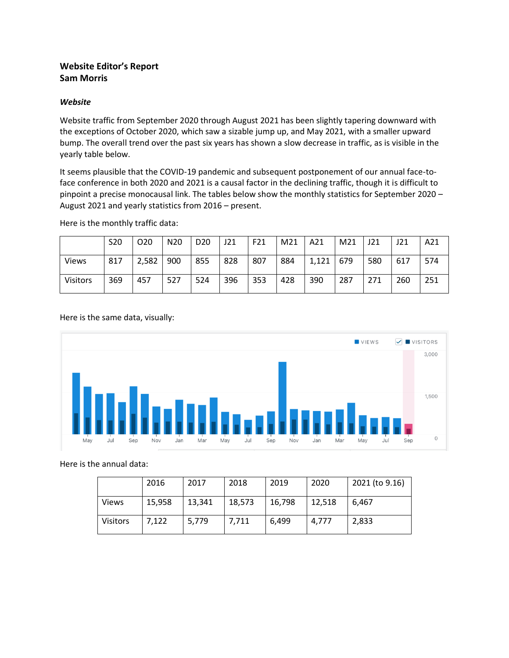## **Website Editor's Report Sam Morris**

#### *Website*

Website traffic from September 2020 through August 2021 has been slightly tapering downward with the exceptions of October 2020, which saw a sizable jump up, and May 2021, with a smaller upward bump. The overall trend over the past six years has shown a slow decrease in traffic, as is visible in the yearly table below.

It seems plausible that the COVID-19 pandemic and subsequent postponement of our annual face-toface conference in both 2020 and 2021 is a causal factor in the declining traffic, though it is difficult to pinpoint a precise monocausal link. The tables below show the monthly statistics for September 2020 – August 2021 and yearly statistics from 2016 – present.

Here is the monthly traffic data:

|                 | <b>S20</b> | O <sub>20</sub> | N <sub>20</sub> | D <sub>20</sub> | J21 | F21 | M21 | A21   | M21 | J21 | J21 | A21 |
|-----------------|------------|-----------------|-----------------|-----------------|-----|-----|-----|-------|-----|-----|-----|-----|
| <b>Views</b>    | 817        | 2,582           | 900             | 855             | 828 | 807 | 884 | 1,121 | 679 | 580 | 617 | 574 |
| <b>Visitors</b> | 369        | 457             | 527             | 524             | 396 | 353 | 428 | 390   | 287 | 271 | 260 | 251 |

Here is the same data, visually:



Here is the annual data:

|                 | 2016   | 2017   | 2018   | 2019   | 2020   | 2021 (to 9.16) |
|-----------------|--------|--------|--------|--------|--------|----------------|
| <b>Views</b>    | 15,958 | 13,341 | 18,573 | 16,798 | 12,518 | 6.467          |
| <b>Visitors</b> | 7,122  | 5,779  | 7,711  | 6.499  | 4,777  | 2,833          |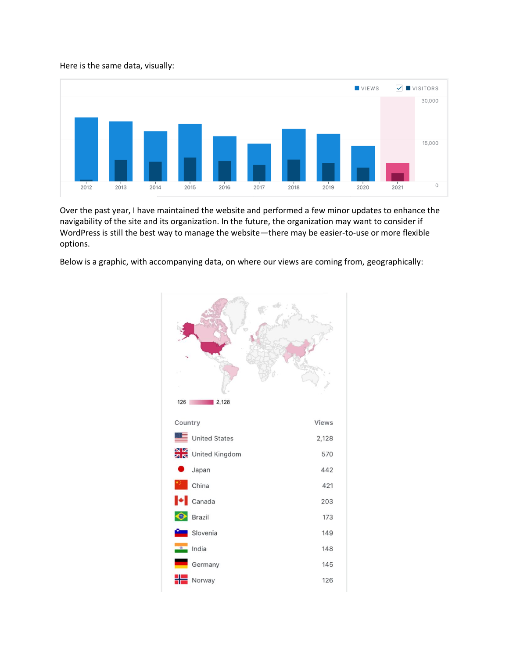#### Here is the same data, visually:



Over the past year, I have maintained the website and performed a few minor updates to enhance the navigability of the site and its organization. In the future, the organization may want to consider if WordPress is still the best way to manage the website—there may be easier-to-use or more flexible options.

Below is a graphic, with accompanying data, on where our views are coming from, geographically:

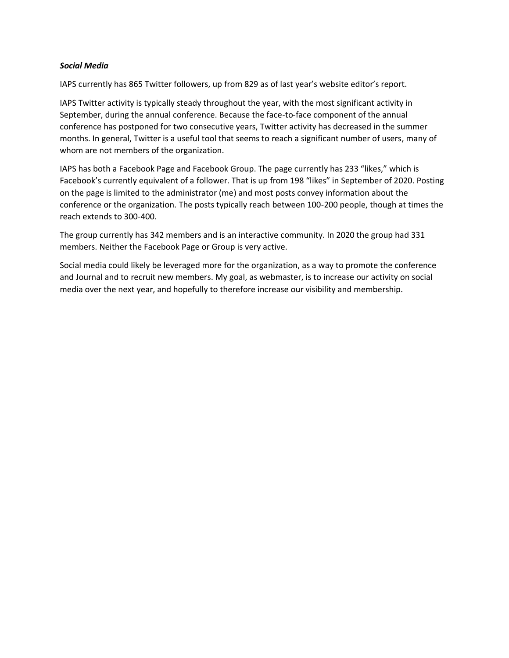#### *Social Media*

IAPS currently has 865 Twitter followers, up from 829 as of last year's website editor's report.

IAPS Twitter activity is typically steady throughout the year, with the most significant activity in September, during the annual conference. Because the face-to-face component of the annual conference has postponed for two consecutive years, Twitter activity has decreased in the summer months. In general, Twitter is a useful tool that seems to reach a significant number of users, many of whom are not members of the organization.

IAPS has both a Facebook Page and Facebook Group. The page currently has 233 "likes," which is Facebook's currently equivalent of a follower. That is up from 198 "likes" in September of 2020. Posting on the page is limited to the administrator (me) and most posts convey information about the conference or the organization. The posts typically reach between 100-200 people, though at times the reach extends to 300-400.

The group currently has 342 members and is an interactive community. In 2020 the group had 331 members. Neither the Facebook Page or Group is very active.

Social media could likely be leveraged more for the organization, as a way to promote the conference and Journal and to recruit new members. My goal, as webmaster, is to increase our activity on social media over the next year, and hopefully to therefore increase our visibility and membership.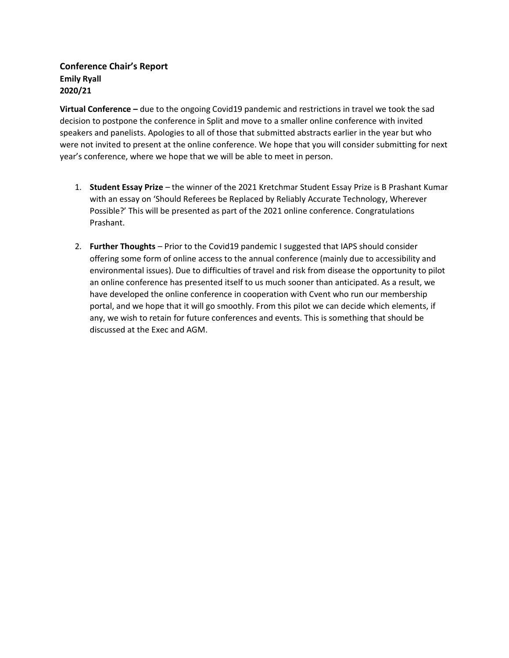## **Conference Chair's Report Emily Ryall 2020/21**

**Virtual Conference –** due to the ongoing Covid19 pandemic and restrictions in travel we took the sad decision to postpone the conference in Split and move to a smaller online conference with invited speakers and panelists. Apologies to all of those that submitted abstracts earlier in the year but who were not invited to present at the online conference. We hope that you will consider submitting for next year's conference, where we hope that we will be able to meet in person.

- 1. **Student Essay Prize** the winner of the 2021 Kretchmar Student Essay Prize is B Prashant Kumar with an essay on 'Should Referees be Replaced by Reliably Accurate Technology, Wherever Possible?' This will be presented as part of the 2021 online conference. Congratulations Prashant.
- 2. **Further Thoughts** Prior to the Covid19 pandemic I suggested that IAPS should consider offering some form of online access to the annual conference (mainly due to accessibility and environmental issues). Due to difficulties of travel and risk from disease the opportunity to pilot an online conference has presented itself to us much sooner than anticipated. As a result, we have developed the online conference in cooperation with Cvent who run our membership portal, and we hope that it will go smoothly. From this pilot we can decide which elements, if any, we wish to retain for future conferences and events. This is something that should be discussed at the Exec and AGM.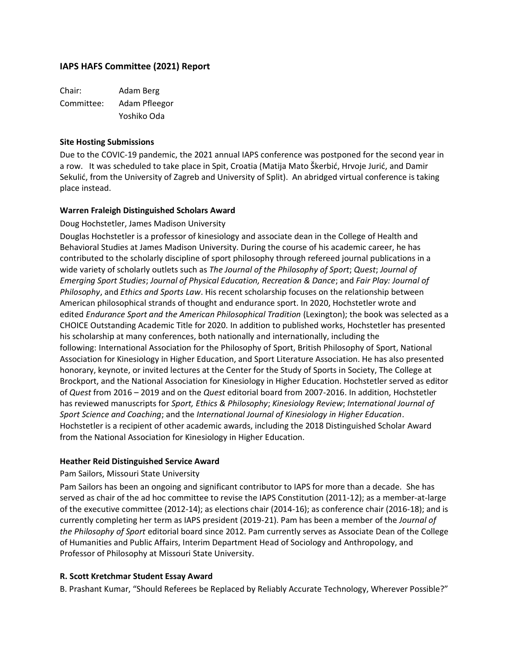## **IAPS HAFS Committee (2021) Report**

Chair: Adam Berg Committee: Adam Pfleegor Yoshiko Oda

#### **Site Hosting Submissions**

Due to the COVIC-19 pandemic, the 2021 annual IAPS conference was postponed for the second year in a row. It was scheduled to take place in Spit, Croatia (Matija Mato Škerbić, Hrvoje Jurić, and Damir Sekulić, from the University of Zagreb and University of Split). An abridged virtual conference is taking place instead.

#### **Warren Fraleigh Distinguished Scholars Award**

Doug Hochstetler, James Madison University

Douglas Hochstetler is a professor of kinesiology and associate dean in the College of Health and Behavioral Studies at James Madison University. During the course of his academic career, he has contributed to the scholarly discipline of sport philosophy through refereed journal publications in a wide variety of scholarly outlets such as *The Journal of the Philosophy of Sport*; *Quest*; *Journal of Emerging Sport Studies*; *Journal of Physical Education, Recreation & Dance*; and *Fair Play: Journal of Philosophy*, and *Ethics and Sports Law*. His recent scholarship focuses on the relationship between American philosophical strands of thought and endurance sport. In 2020, Hochstetler wrote and edited *Endurance Sport and the American Philosophical Tradition* (Lexington); the book was selected as a CHOICE Outstanding Academic Title for 2020. In addition to published works, Hochstetler has presented his scholarship at many conferences, both nationally and internationally, including the following: International Association for the Philosophy of Sport, British Philosophy of Sport, National Association for Kinesiology in Higher Education, and Sport Literature Association. He has also presented honorary, keynote, or invited lectures at the Center for the Study of Sports in Society, The College at Brockport, and the National Association for Kinesiology in Higher Education. Hochstetler served as editor of *Quest* from 2016 – 2019 and on the *Quest* editorial board from 2007-2016. In addition, Hochstetler has reviewed manuscripts for *Sport, Ethics & Philosophy*; *Kinesiology Review*; *International Journal of Sport Science and Coaching*; and the *International Journal of Kinesiology in Higher Education*. Hochstetler is a recipient of other academic awards, including the 2018 Distinguished Scholar Award from the National Association for Kinesiology in Higher Education.

#### **Heather Reid Distinguished Service Award**

#### Pam Sailors, Missouri State University

Pam Sailors has been an ongoing and significant contributor to IAPS for more than a decade. She has served as chair of the ad hoc committee to revise the IAPS Constitution (2011-12); as a member-at-large of the executive committee (2012-14); as elections chair (2014-16); as conference chair (2016-18); and is currently completing her term as IAPS president (2019-21). Pam has been a member of the *Journal of the Philosophy of Sport* editorial board since 2012. Pam currently serves as Associate Dean of the College of Humanities and Public Affairs, Interim Department Head of Sociology and Anthropology, and Professor of Philosophy at Missouri State University.

#### **R. Scott Kretchmar Student Essay Award**

B. Prashant Kumar, "Should Referees be Replaced by Reliably Accurate Technology, Wherever Possible?"